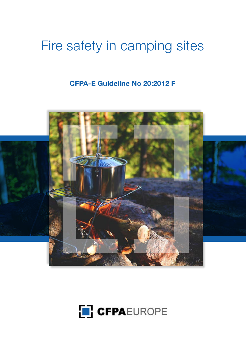# Fire safety in camping sites

# **CFPA-E Guideline No 20:2012 F**



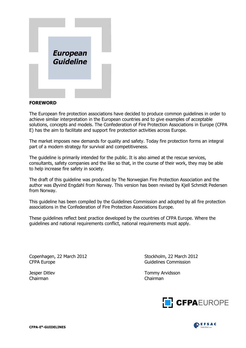

#### **FOREWORD**

The European fire protection associations have decided to produce common guidelines in order to achieve similar interpretation in the European countries and to give examples of acceptable solutions, concepts and models. The Confederation of Fire Protection Associations in Europe (CFPA E) has the aim to facilitate and support fire protection activities across Europe.

The market imposes new demands for quality and safety. Today fire protection forms an integral part of a modern strategy for survival and competitiveness.

The guideline is primarily intended for the public. It is also aimed at the rescue services, consultants, safety companies and the like so that, in the course of their work, they may be able to help increase fire safety in society.

The draft of this guideline was produced by The Norwegian Fire Protection Association and the author was Øyvind Engdahl from Norway. This version has been revised by Kjell Schmidt Pedersen from Norway.

This guideline has been compiled by the Guidelines Commission and adopted by all fire protection associations in the Confederation of Fire Protection Associations Europe.

These guidelines reflect best practice developed by the countries of CFPA Europe. Where the guidelines and national requirements conflict, national requirements must apply.

Copenhagen, 22 March 2012 Stockholm, 22 March 2012 CFPA Europe **Guidelines** Commission

Chairman Chairman

Jesper Ditlev Tommy Arvidsson



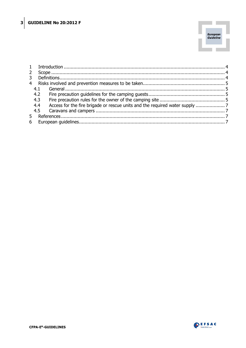

| 4.1 |  |  |
|-----|--|--|
| 4.2 |  |  |
| 4.3 |  |  |
| 4.4 |  |  |
|     |  |  |
|     |  |  |
|     |  |  |
|     |  |  |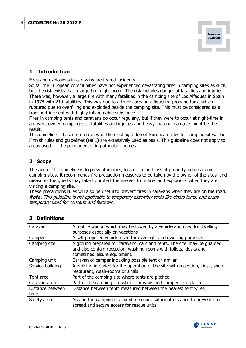

## <span id="page-3-0"></span>**1 Introduction**

Fires and explosions in caravans are feared incidents.

So far the European communities have not experienced devastating fires in camping sites as such, but the risk exists that a large fire might occur. The risk includes danger of fatalities and injuries. There was, however, a large fire with many fatalities in the camping site of Los Alfaques in Spain in 1978 with 210 fatalities. This was due to a truck carrying a liquefied propane tank, which ruptured due to overfilling and exploded beside the camping site. This must be considered as a transport incident with highly inflammable substance.

Fires in camping tents and caravans do occur regularly, but if they were to occur at night-time in an overcrowded camping-site, fatalities and injuries and heavy material damage might be the result.

This guideline is based on a review of the existing different European rules for camping sites. The Finnish rules and guidelines (ref.1) are extensively used as basis. This guideline does not apply to areas used for the permanent siting of mobile homes.

### <span id="page-3-1"></span>**2 Scope**

The aim of this guideline is to prevent injuries, loss of life and loss of property in fires in on camping sites. It recommends fire precaution measures to be taken by the owner of the sites, and measures the guests may take to protect themselves from fires and explosions when they are visiting a camping site.

These precautions rules will also be useful to prevent fires in caravans when they are on the road. Note: This quideline is not applicable to temporary assembly tents like circus tents, and areas temporary used for concerts and festivals.

| Caravan          | A mobile wagon which may be towed by a vehicle and used for dwelling           |  |  |  |
|------------------|--------------------------------------------------------------------------------|--|--|--|
|                  | purposes especially on vacations                                               |  |  |  |
| Camper           | A self propelled vehicle used for overnight and dwelling purposes.             |  |  |  |
| Camping site     | A ground prepared for caravans, cars and tents. The site imay be guarded       |  |  |  |
|                  | and also contain reception, washing-rooms with toilets, kiosks and             |  |  |  |
|                  | sometimes leisure equipment.                                                   |  |  |  |
| Camping unit     | Caravan or camper including possible tent or similar                           |  |  |  |
| Service building | A building intended for the operation of the site with reception, kiosk, shop, |  |  |  |
|                  | restaurant, wash-rooms or similar                                              |  |  |  |
| Tent area        | Part of the camping site where tents are pitched                               |  |  |  |
| Caravan area     | Part of the camping site where caravans and campers are placed                 |  |  |  |
| Distance between | Distance between tents measured between the nearest tent wires                 |  |  |  |
| tents            |                                                                                |  |  |  |
| Safety area      | Area in the camping site fixed to secure sufficient distance to prevent fire   |  |  |  |
|                  | spread and secure access for rescue units                                      |  |  |  |

# <span id="page-3-2"></span>**3 Definitions**

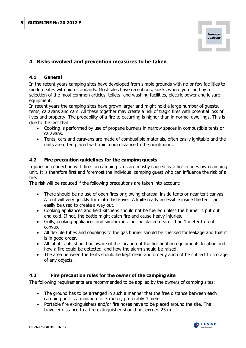

# <span id="page-4-0"></span>**4 Risks involved and prevention measures to be taken**

#### <span id="page-4-1"></span>**4.1 General**

In the recent years camping sites have developed from simple grounds with no or few facilities to modern sites with high standards. Most sites have receptions, kiosks where you can buy a selection of the most common articles, toilets- and washing facilities, electric power and leisure equipment.

In recent years the camping sites have grown larger and might hold a large number of guests, tents, caravans and cars. All these together may create a risk of tragic fires with potential loss of lives and property. The probability of a fire to occurring is higher than in normal dwellings. This is due to the fact that:

- Cooking is performed by use of propane burners in narrow spaces in combustible tents or caravans.
- Tents, cars and caravans are made of combustible materials, often easily ignitable and the units are often placed with minimum distance to the neighbours.

#### <span id="page-4-2"></span>**4.2 Fire precaution guidelines for the camping guests**

Injuries in connection with fires on camping sites are mostly caused by a fire in ones own camping unit. It is therefore first and foremost the individual camping guest who can influence the risk of a fire.

The risk will be reduced if the following precautions are taken into account:

- There should be no use of open fires or glowing charcoal inside tents or near tent canvas. A tent will very quickly turn into flash-over. A knife ready accessible inside the tent can easily be used to create a way out.
- Cooking appliances and field kitchens should not be fuelled unless the burner is put out and cold. If not, the bottle might catch fire and cause heavy injuries.
- Grills, cooking appliances and similar must not be placed nearer than 1 meter to tent canvas.
- All flexible tubes and couplings to the gas burner should be checked for leakage and that it is in good order.
- All inhabitants should be aware of the location of the fire fighting equipments location and how a fire could be detected, and how the alarm should be raised.
- <span id="page-4-3"></span>• The area between the tents should be kept clean and orderly and not be subject to storage of any objects.

#### **4.3 Fire precaution rules for the owner of the camping site**

The following requirements are recommended to be applied by the owners of camping sites:

- The ground has to be arranged in such a manner that the free distance between each camping unit is a minimum of 3 meter; preferably 4 meter.
- Portable fire extinguishers and/or fire hoses have to be placed around the site. The traveller distance to a fire extinguisher should not exceed 25 m.

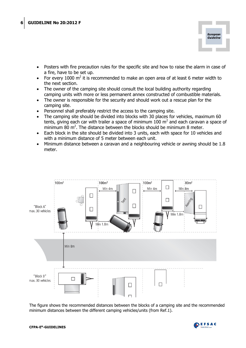

- Posters with fire precaution rules for the specific site and how to raise the alarm in case of a fire, have to be set up.
- For every 1000  $m^2$  it is recommended to make an open area of at least 6 meter width to the next section.
- The owner of the camping site should consult the local building authority regarding camping units with more or less permanent annex constructed of combustible materials.
- The owner is responsible for the security and should work out a rescue plan for the camping site.
- Personnel shall preferably restrict the access to the camping site.
- The camping site should be divided into blocks with 30 places for vehicles, maximum 60 tents, giving each car with trailer a space of minimum 100  $m<sup>2</sup>$  and each caravan a space of minimum 80  $m^2$ . The distance between the blocks should be minimum 8 meter.
- Each block in the site should be divided into 3 units, each with space for 10 vehicles and with a minimum distance of 5 meter between each unit.
- Minimum distance between a caravan and a neighbouring vehicle or awning should be 1.8 meter.



The figure shows the recommended distances between the blocks of a camping site and the recommended minimum distances between the different camping vehicles/units (from Ref.1).

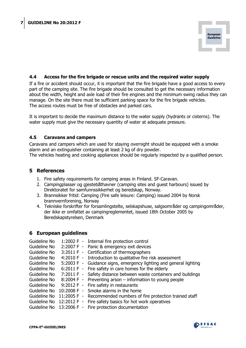

#### <span id="page-6-0"></span>**4.4 Access for the fire brigade or rescue units and the required water supply**

If a fire or accident should occur, it is important that the fire brigade have a good access to every part of the camping site. The fire brigade should be consulted to get the necessary information about the width, height and axle load of their fire engines and the minimum swing radius they can manage. On the site there must be sufficient parking space for the fire brigade vehicles. The access routes must be free of obstacles and parked cars.

<span id="page-6-1"></span>It is important to decide the maximum distance to the water supply (hydrants or cisterns). The water supply must give the necessary quantity of water at adequate pressure.

#### **4.5 Caravans and campers**

Caravans and campers which are used for staying overnight should be equipped with a smoke alarm and an extinguisher containing at least 2 kg of dry powder.

<span id="page-6-2"></span>The vehicles heating and cooking appliances should be regularly inspected by a qualified person.

#### **5 References**

- 1. Fire safety requirements for camping areas in Finland. SF-Caravan.
- 2. Campingplasser og gjestebåthavner (camping sites and guest harbours) issued by Direktoratet for samfunnssikkerhet og beredskap, Norway.
- 3. Brannsikker fritid: Camping (Fire safe leisure: Camping) issued 2004 by Norsk brannvernforening, Norway
- 4. Tekniske forskrifter for forsamlingstelte, selskapshuse, salgsområder og campingområder, der ikke er omfattet av campingreglementet, issued 18th October 2005 by Beredskapstyrelsen, Denmark

#### <span id="page-6-3"></span>**6 European guidelines**

| 1:2002 F - Internal fire protection control                            |
|------------------------------------------------------------------------|
| 2:2007 F - Panic & emergency exit devices                              |
| 3:2011 F - Certification of thermographers                             |
| 4:2010 F - Introduction to qualitative fire risk assessment            |
| 5:2003 F - Guidance signs, emergency lighting and general lighting     |
| 6:2011 F - Fire safety in care homes for the elderly                   |
| Safety distance between waste containers and buildings<br>$7:2011 F -$ |
| $8:2004 F -$<br>Preventing arson $-$ information to young people       |
| 9:2012 F - Fire safety in restaurants                                  |
| Smoke alarms in the home<br>$10:2008 F -$                              |
| $11:2005 F -$<br>Recommended numbers of fire protection trained staff  |
| 12:2012 F - Fire safety basics for hot work operatives                 |
| Guideline No 13:2006 F - Fire protection documentation                 |
|                                                                        |